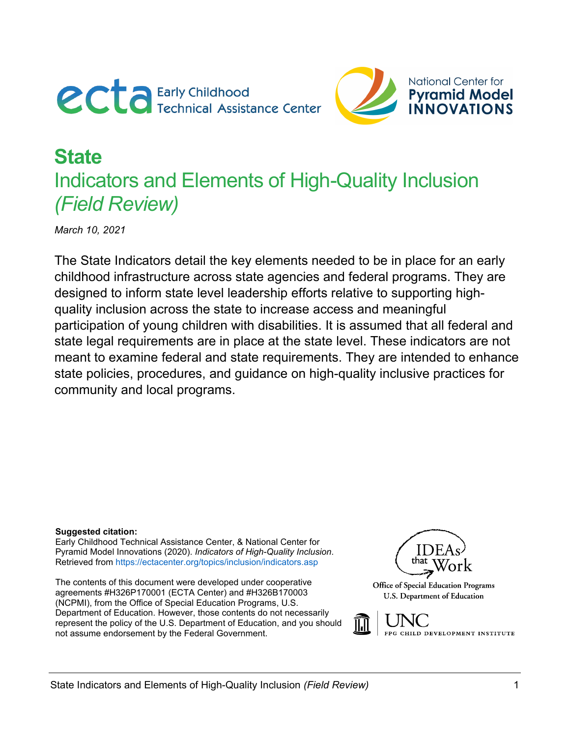



# **State**  Indicators and Elements of High-Quality Inclusion *(Field Review)*

*March 10, 2021* 

The State Indicators detail the key elements needed to be in place for an early childhood infrastructure across state agencies and federal programs. They are designed to inform state level leadership efforts relative to supporting highquality inclusion across the state to increase access and meaningful participation of young children with disabilities. It is assumed that all federal and state legal requirements are in place at the state level. These indicators are not meant to examine federal and state requirements. They are intended to enhance state policies, procedures, and guidance on high-quality inclusive practices for community and local programs.

#### **Suggested citation:**

Early Childhood Technical Assistance Center, & National Center for Pyramid Model Innovations (2020). *Indicators of High-Quality Inclusion*. Retrieved from<https://ectacenter.org/topics/inclusion/indicators.asp>

The contents of this document were developed under cooperative agreements #H326P170001 (ECTA Center) and #H326B170003 (NCPMI), from the Office of Special Education Programs, U.S. Department of Education. However, those contents do not necessarily represent the policy of the U.S. Department of Education, and you should not assume endorsement by the Federal Government.



Office of Special Education Programs U.S. Department of Education

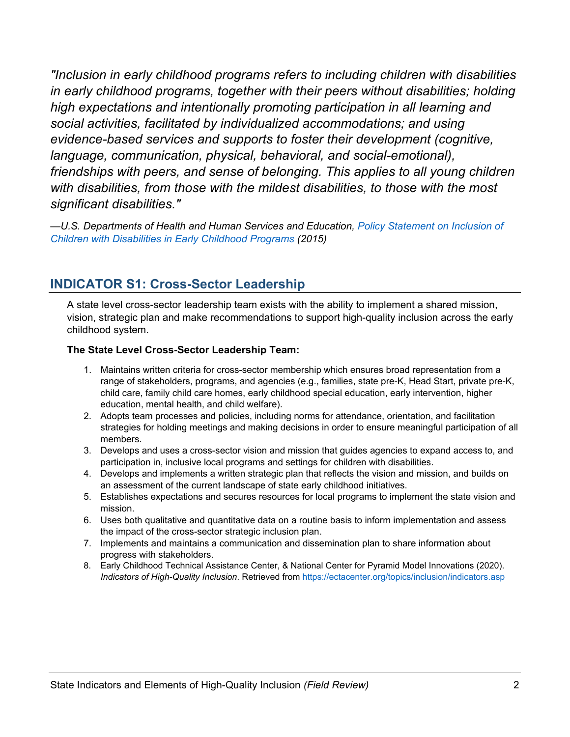*"Inclusion in early childhood programs refers to including children with disabilities in early childhood programs, together with their peers without disabilities; holding high expectations and intentionally promoting participation in all learning and social activities, facilitated by individualized accommodations; and using evidence-based services and supports to foster their development (cognitive, language, communication, physical, behavioral, and social-emotional), friendships with peers, and sense of belonging. This applies to all young children with disabilities, from those with the mildest disabilities, to those with the most significant disabilities."*

*—U.S. Departments of Health and Human Services and Education, [Policy Statement on Inclusion of](https://www2.ed.gov/policy/speced/guid/earlylearning/joint-statement-full-text.pdf)  [Children with Disabilities in Early Childhood Programs](https://www2.ed.gov/policy/speced/guid/earlylearning/joint-statement-full-text.pdf) (2015)*

### **INDICATOR S1: Cross-Sector Leadership**

A state level cross-sector leadership team exists with the ability to implement a shared mission, vision, strategic plan and make recommendations to support high-quality inclusion across the early childhood system.

#### **The State Level Cross-Sector Leadership Team:**

- 1. Maintains written criteria for cross-sector membership which ensures broad representation from a range of stakeholders, programs, and agencies (e.g., families, state pre-K, Head Start, private pre-K, child care, family child care homes, early childhood special education, early intervention, higher education, mental health, and child welfare).
- 2. Adopts team processes and policies, including norms for attendance, orientation, and facilitation strategies for holding meetings and making decisions in order to ensure meaningful participation of all members.
- 3. Develops and uses a cross-sector vision and mission that guides agencies to expand access to, and participation in, inclusive local programs and settings for children with disabilities.
- 4. Develops and implements a written strategic plan that reflects the vision and mission, and builds on an assessment of the current landscape of state early childhood initiatives.
- 5. Establishes expectations and secures resources for local programs to implement the state vision and mission.
- 6. Uses both qualitative and quantitative data on a routine basis to inform implementation and assess the impact of the cross-sector strategic inclusion plan.
- 7. Implements and maintains a communication and dissemination plan to share information about progress with stakeholders.
- 8. Early Childhood Technical Assistance Center, & National Center for Pyramid Model Innovations (2020). *Indicators of High-Quality Inclusion*. Retrieved from<https://ectacenter.org/topics/inclusion/indicators.asp>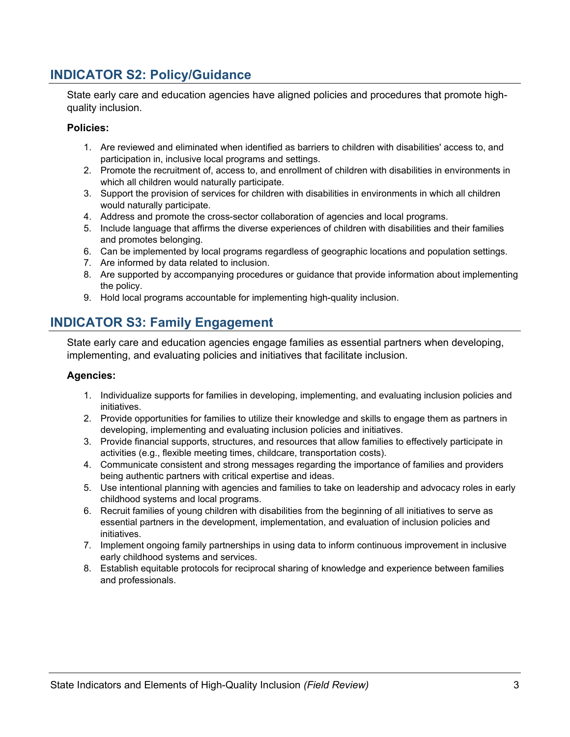## **INDICATOR S2: Policy/Guidance**

State early care and education agencies have aligned policies and procedures that promote highquality inclusion.

#### **Policies:**

- 1. Are reviewed and eliminated when identified as barriers to children with disabilities' access to, and participation in, inclusive local programs and settings.
- 2. Promote the recruitment of, access to, and enrollment of children with disabilities in environments in which all children would naturally participate.
- 3. Support the provision of services for children with disabilities in environments in which all children would naturally participate.
- 4. Address and promote the cross-sector collaboration of agencies and local programs.
- 5. Include language that affirms the diverse experiences of children with disabilities and their families and promotes belonging.
- 6. Can be implemented by local programs regardless of geographic locations and population settings.
- 7. Are informed by data related to inclusion.
- 8. Are supported by accompanying procedures or guidance that provide information about implementing the policy.
- 9. Hold local programs accountable for implementing high-quality inclusion.

### **INDICATOR S3: Family Engagement**

State early care and education agencies engage families as essential partners when developing, implementing, and evaluating policies and initiatives that facilitate inclusion.

- 1. Individualize supports for families in developing, implementing, and evaluating inclusion policies and initiatives.
- 2. Provide opportunities for families to utilize their knowledge and skills to engage them as partners in developing, implementing and evaluating inclusion policies and initiatives.
- 3. Provide financial supports, structures, and resources that allow families to effectively participate in activities (e.g., flexible meeting times, childcare, transportation costs).
- 4. Communicate consistent and strong messages regarding the importance of families and providers being authentic partners with critical expertise and ideas.
- 5. Use intentional planning with agencies and families to take on leadership and advocacy roles in early childhood systems and local programs.
- 6. Recruit families of young children with disabilities from the beginning of all initiatives to serve as essential partners in the development, implementation, and evaluation of inclusion policies and initiatives.
- 7. Implement ongoing family partnerships in using data to inform continuous improvement in inclusive early childhood systems and services.
- 8. Establish equitable protocols for reciprocal sharing of knowledge and experience between families and professionals.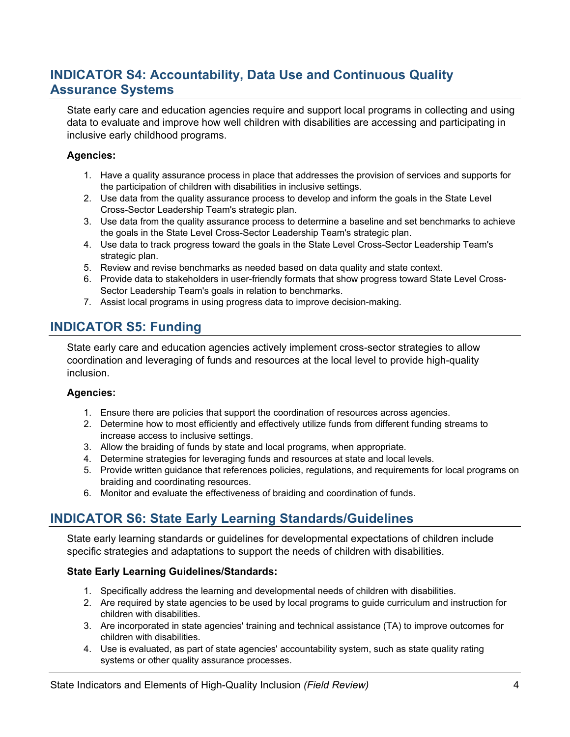# **INDICATOR S4: Accountability, Data Use and Continuous Quality Assurance Systems**

State early care and education agencies require and support local programs in collecting and using data to evaluate and improve how well children with disabilities are accessing and participating in inclusive early childhood programs.

#### **Agencies:**

- 1. Have a quality assurance process in place that addresses the provision of services and supports for the participation of children with disabilities in inclusive settings.
- 2. Use data from the quality assurance process to develop and inform the goals in the State Level Cross-Sector Leadership Team's strategic plan.
- 3. Use data from the quality assurance process to determine a baseline and set benchmarks to achieve the goals in the State Level Cross-Sector Leadership Team's strategic plan.
- 4. Use data to track progress toward the goals in the State Level Cross-Sector Leadership Team's strategic plan.
- 5. Review and revise benchmarks as needed based on data quality and state context.
- 6. Provide data to stakeholders in user-friendly formats that show progress toward State Level Cross-Sector Leadership Team's goals in relation to benchmarks.
- 7. Assist local programs in using progress data to improve decision-making.

# **INDICATOR S5: Funding**

State early care and education agencies actively implement cross-sector strategies to allow coordination and leveraging of funds and resources at the local level to provide high-quality inclusion.

#### **Agencies:**

- 1. Ensure there are policies that support the coordination of resources across agencies.
- 2. Determine how to most efficiently and effectively utilize funds from different funding streams to increase access to inclusive settings.
- 3. Allow the braiding of funds by state and local programs, when appropriate.
- 4. Determine strategies for leveraging funds and resources at state and local levels.
- 5. Provide written guidance that references policies, regulations, and requirements for local programs on braiding and coordinating resources.
- 6. Monitor and evaluate the effectiveness of braiding and coordination of funds.

# **INDICATOR S6: State Early Learning Standards/Guidelines**

State early learning standards or guidelines for developmental expectations of children include specific strategies and adaptations to support the needs of children with disabilities.

### **State Early Learning Guidelines/Standards:**

- 1. Specifically address the learning and developmental needs of children with disabilities.
- 2. Are required by state agencies to be used by local programs to guide curriculum and instruction for children with disabilities.
- 3. Are incorporated in state agencies' training and technical assistance (TA) to improve outcomes for children with disabilities.
- 4. Use is evaluated, as part of state agencies' accountability system, such as state quality rating systems or other quality assurance processes.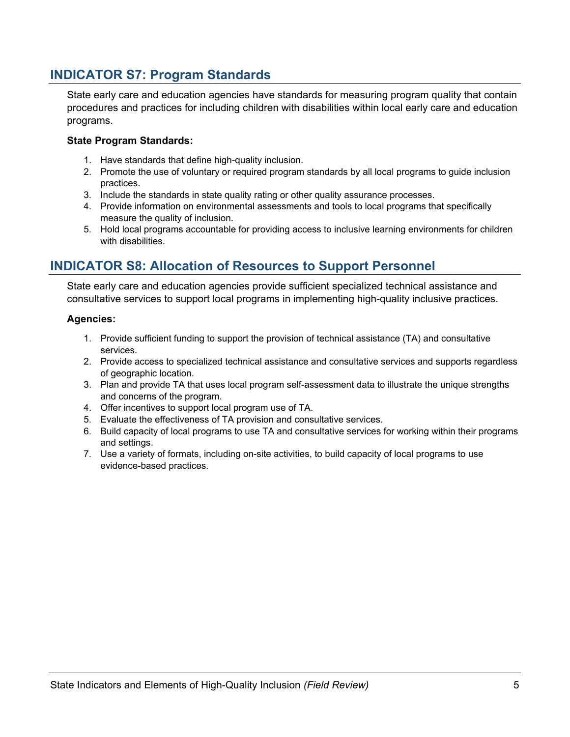### **INDICATOR S7: Program Standards**

State early care and education agencies have standards for measuring program quality that contain procedures and practices for including children with disabilities within local early care and education programs.

#### **State Program Standards:**

- 1. Have standards that define high-quality inclusion.
- 2. Promote the use of voluntary or required program standards by all local programs to guide inclusion practices.
- 3. Include the standards in state quality rating or other quality assurance processes.
- 4. Provide information on environmental assessments and tools to local programs that specifically measure the quality of inclusion.
- 5. Hold local programs accountable for providing access to inclusive learning environments for children with disabilities.

### **INDICATOR S8: Allocation of Resources to Support Personnel**

State early care and education agencies provide sufficient specialized technical assistance and consultative services to support local programs in implementing high-quality inclusive practices.

- 1. Provide sufficient funding to support the provision of technical assistance (TA) and consultative services.
- 2. Provide access to specialized technical assistance and consultative services and supports regardless of geographic location.
- 3. Plan and provide TA that uses local program self-assessment data to illustrate the unique strengths and concerns of the program.
- 4. Offer incentives to support local program use of TA.
- 5. Evaluate the effectiveness of TA provision and consultative services.
- 6. Build capacity of local programs to use TA and consultative services for working within their programs and settings.
- 7. Use a variety of formats, including on-site activities, to build capacity of local programs to use evidence-based practices.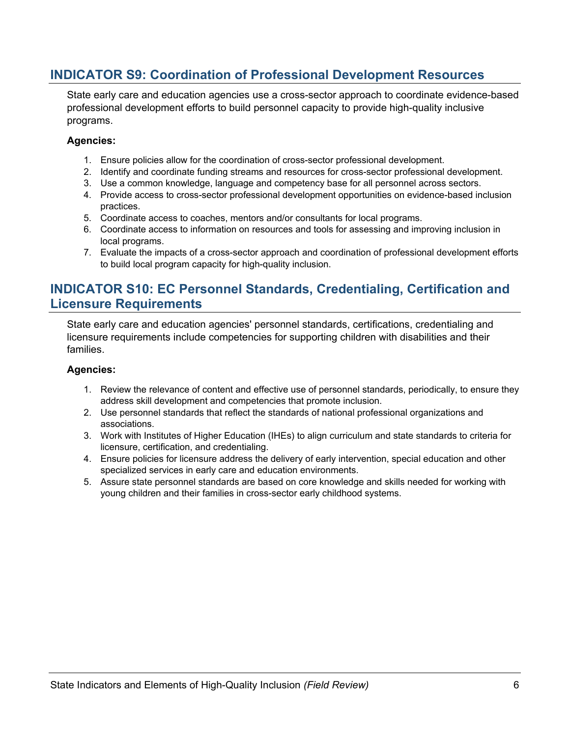### **INDICATOR S9: Coordination of Professional Development Resources**

State early care and education agencies use a cross-sector approach to coordinate evidence-based professional development efforts to build personnel capacity to provide high-quality inclusive programs.

#### **Agencies:**

- 1. Ensure policies allow for the coordination of cross-sector professional development.
- 2. Identify and coordinate funding streams and resources for cross-sector professional development.
- 3. Use a common knowledge, language and competency base for all personnel across sectors.
- 4. Provide access to cross-sector professional development opportunities on evidence-based inclusion practices.
- 5. Coordinate access to coaches, mentors and/or consultants for local programs.
- 6. Coordinate access to information on resources and tools for assessing and improving inclusion in local programs.
- 7. Evaluate the impacts of a cross-sector approach and coordination of professional development efforts to build local program capacity for high-quality inclusion.

### **INDICATOR S10: EC Personnel Standards, Credentialing, Certification and Licensure Requirements**

State early care and education agencies' personnel standards, certifications, credentialing and licensure requirements include competencies for supporting children with disabilities and their families.

- 1. Review the relevance of content and effective use of personnel standards, periodically, to ensure they address skill development and competencies that promote inclusion.
- 2. Use personnel standards that reflect the standards of national professional organizations and associations.
- 3. Work with Institutes of Higher Education (IHEs) to align curriculum and state standards to criteria for licensure, certification, and credentialing.
- 4. Ensure policies for licensure address the delivery of early intervention, special education and other specialized services in early care and education environments.
- 5. Assure state personnel standards are based on core knowledge and skills needed for working with young children and their families in cross-sector early childhood systems.